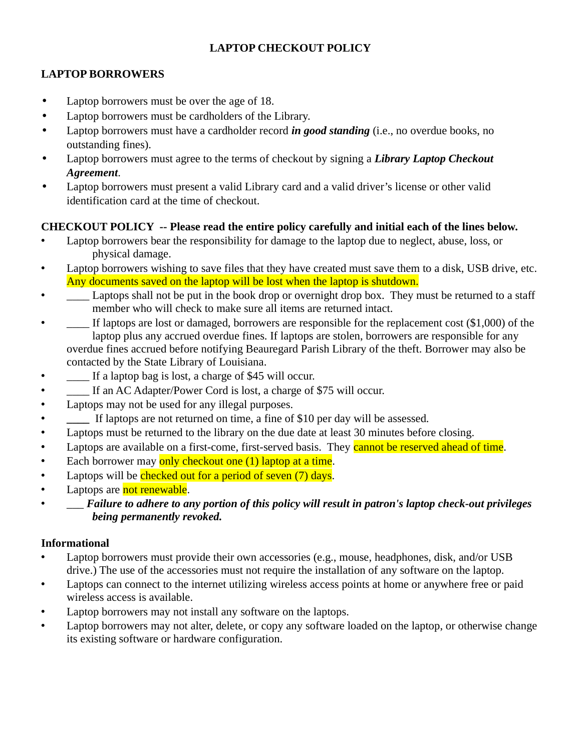# **LAPTOP CHECKOUT POLICY**

# **LAPTOP BORROWERS**

- Laptop borrowers must be over the age of 18.
- Laptop borrowers must be cardholders of the Library.
- Laptop borrowers must have a cardholder record *in good standing* (i.e., no overdue books, no outstanding fines).
- Laptop borrowers must agree to the terms of checkout by signing a *Library Laptop Checkout Agreement*.
- Laptop borrowers must present a valid Library card and a valid driver's license or other valid identification card at the time of checkout.

## **CHECKOUT POLICY -- Please read the entire policy carefully and initial each of the lines below.**

- Laptop borrowers bear the responsibility for damage to the laptop due to neglect, abuse, loss, or physical damage.
- Laptop borrowers wishing to save files that they have created must save them to a disk, USB drive, etc. Any documents saved on the laptop will be lost when the laptop is shutdown.
- $\Box$  Laptops shall not be put in the book drop or overnight drop box. They must be returned to a staff member who will check to make sure all items are returned intact.
- If laptops are lost or damaged, borrowers are responsible for the replacement cost (\$1,000) of the laptop plus any accrued overdue fines. If laptops are stolen, borrowers are responsible for any overdue fines accrued before notifying Beauregard Parish Library of the theft. Borrower may also be contacted by the State Library of Louisiana.
- If a laptop bag is lost, a charge of \$45 will occur.
- $\qquad \qquad \_$  If an AC Adapter/Power Cord is lost, a charge of \$75 will occur.
- Laptops may not be used for any illegal purposes.
- **\_\_\_\_** If laptops are not returned on time, a fine of \$10 per day will be assessed.
- Laptops must be returned to the library on the due date at least 30 minutes before closing.
- Laptops are available on a first-come, first-served basis. They cannot be reserved ahead of time.
- Each borrower may only checkout one (1) laptop at a time.
- Laptops will be checked out for a period of seven (7) days.
- Laptops are not renewable.
- \_\_\_ *Failure to adhere to any portion of this policy will result in patron's laptop check-out privileges being permanently revoked.*

### **Informational**

- Laptop borrowers must provide their own accessories (e.g., mouse, headphones, disk, and/or USB drive.) The use of the accessories must not require the installation of any software on the laptop.
- Laptops can connect to the internet utilizing wireless access points at home or anywhere free or paid wireless access is available.
- Laptop borrowers may not install any software on the laptops.
- Laptop borrowers may not alter, delete, or copy any software loaded on the laptop, or otherwise change its existing software or hardware configuration.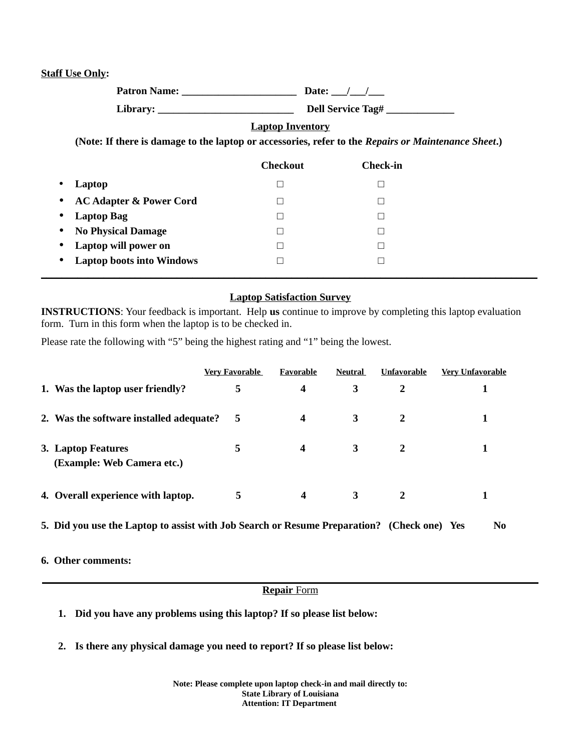#### **Staff Use Only:**

**Patron Name: \_\_\_\_\_\_\_\_\_\_\_\_\_\_\_\_\_\_\_\_\_\_ Date: \_\_\_/\_\_\_/\_\_\_ Library: \_\_\_\_\_\_\_\_\_\_\_\_\_\_\_\_\_\_\_\_\_\_\_\_\_\_ Dell Service Tag# \_\_\_\_\_\_\_\_\_\_\_\_\_** 

### **Laptop Inventory**

 **(Note: If there is damage to the laptop or accessories, refer to the** *Repairs or Maintenance Sheet***.)** 

|                                                 | <b>Checkout</b> | Check-in |
|-------------------------------------------------|-----------------|----------|
| Laptop<br>$\bullet$                             |                 |          |
| <b>AC Adapter &amp; Power Cord</b><br>$\bullet$ |                 |          |
| <b>Laptop Bag</b><br>$\bullet$                  |                 |          |
| • No Physical Damage                            |                 |          |
| • Laptop will power on                          |                 |          |
| • Laptop boots into Windows                     |                 |          |
|                                                 |                 |          |

### **Laptop Satisfaction Survey**

 **INSTRUCTIONS**: Your feedback is important. Help **us** continue to improve by completing this laptop evaluation form. Turn in this form when the laptop is to be checked in.

Please rate the following with "5" being the highest rating and "1" being the lowest.

|                                                  | <b>Very Favorable</b> | Favorable | <b>Neutral</b> | <b>Unfavorable</b> | <b>Very Unfavorable</b> |
|--------------------------------------------------|-----------------------|-----------|----------------|--------------------|-------------------------|
| 1. Was the laptop user friendly?                 | 5                     | 4         | 3              | 2                  |                         |
| 2. Was the software installed adequate?          | 5                     | 4         | 3              | 2                  |                         |
| 3. Laptop Features<br>(Example: Web Camera etc.) | 5                     | 4         | 3              | 2                  |                         |
| 4. Overall experience with laptop.               | 5                     | 4         | 3              | 2                  |                         |

5. Did you use the Laptop to assist with Job Search or Resume Preparation? (Check one) Yes No

 **6. Other comments:** 

#### **Repair** Form **\_\_\_\_\_\_\_\_\_\_\_\_\_\_\_\_\_\_\_\_\_\_\_\_\_\_\_\_\_\_\_\_\_\_\_\_\_\_\_\_\_\_\_\_\_\_\_\_\_\_\_\_\_\_\_\_\_\_\_\_\_\_\_\_\_\_\_\_\_\_\_\_\_\_\_\_\_\_\_\_\_\_\_\_\_\_\_\_\_\_\_\_\_\_\_**

- **1. Did you have any problems using this laptop? If so please list below:**
- **2. Is there any physical damage you need to report? If so please list below:**